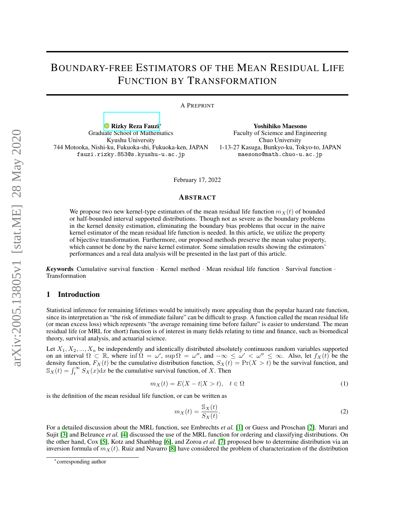# BOUNDARY-FREE ESTIMATORS OF THE MEAN RESIDUAL LIFE FUNCTION BY TRANSFORMATION

A PREPRINT

[Rizky Reza Fauzi](https://orcid.org/0000-0002-6939-9465)<sup>∗</sup> Graduate School of Mathematics Kyushu University 744 Motooka, Nishi-ku, Fukuoka-shi, Fukuoka-ken, JAPAN fauzi.rizky.853@s.kyushu-u.ac.jp

Yoshihiko Maesono Faculty of Sciemce and Engineering Chuo University 1-13-27 Kasuga, Bunkyo-ku, Tokyo-to, JAPAN maesono@math.chuo-u.ac.jp

February 17, 2022

#### ABSTRACT

We propose two new kernel-type estimators of the mean residual life function  $m<sub>X</sub>(t)$  of bounded or half-bounded interval supported distributions. Though not as severe as the boundary problems in the kernel density estimation, eliminating the boundary bias problems that occur in the naive kernel estimator of the mean residual life function is needed. In this article, we utilize the property of bijective transformation. Furthermore, our proposed methods preserve the mean value property, which cannot be done by the naive kernel estimator. Some simulation results showing the estimators' performances and a real data analysis will be presented in the last part of this article.

*K*eywords Cumulative survival function · Kernel method · Mean residual life function · Survival function · Transformation

#### <span id="page-0-0"></span>1 Introduction

Statistical inference for remaining lifetimes would be intuitively more appealing than the popular hazard rate function, since its interpretation as "the risk of immediate failure" can be difficult to grasp. A function called the mean residual life (or mean excess loss) which represents "the average remaining time before failure" is easier to understand. The mean residual life (or MRL for short) function is of interest in many fields relating to time and finance, such as biomedical theory, survival analysis, and actuarial science.

Let  $X_1, X_2, ..., X_n$  be independently and identically distributed absolutely continuous random variables supported on an interval  $\Omega \subset \mathbb{R}$ , where  $\inf \Omega = \omega'$ ,  $\sup \Omega = \omega''$ , and  $-\infty \leq \omega' < \omega'' \leq \infty$ . Also, let  $f_X(t)$  be the density function,  $F_X(t)$  be the cumulative distribution function,  $S_X(t) = Pr(X > t)$  be the survival function, and  $\mathbb{S}_X(t) = \int_t^{\infty} S_X(x) dx$  be the cumulative survival function, of X. Then

$$
m_X(t) = E(X - t | X > t), \quad t \in \Omega
$$
\n<sup>(1)</sup>

is the definition of the mean residual life function, or can be written as

$$
m_X(t) = \frac{\mathbb{S}_X(t)}{S_X(t)}.\tag{2}
$$

For a detailed discussion about the MRL function, see Embrechts *et al.* [\[1\]](#page-9-0) or Guess and Proschan [\[2\]](#page-9-1). Murari and Sujit [\[3\]](#page-9-2) and Belzunce *et al.* [\[4\]](#page-9-3) discussed the use of the MRL function for ordering and classifying distributions. On the other hand, Cox [\[5\]](#page-9-4), Kotz and Shanbhag [\[6\]](#page-9-5), and Zoroa *et al.* [\[7\]](#page-9-6) proposed how to determine distribution via an inversion formula of  $m<sub>X</sub>(t)$ . Ruiz and Navarro [\[8\]](#page-9-7) have considered the problem of characterization of the distribution

<sup>∗</sup> corresponding author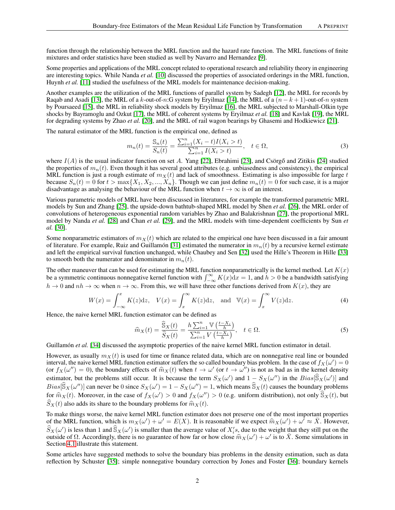function through the relationship between the MRL function and the hazard rate function. The MRL functions of finite mixtures and order statistics have been studied as well by Navarro and Hernandez [\[9\]](#page-9-8).

Some properties and applications of the MRL concept related to operational research and reliability theory in engineering are interesting topics. While Nanda *et al.* [\[10\]](#page-9-9) discussed the properties of associated orderings in the MRL function, Huynh *et al.* [\[11\]](#page-9-10) studied the usefulness of the MRL models for maintenance decision-making.

Another examples are the utilization of the MRL functions of parallel system by Sadegh [\[12\]](#page-9-11), the MRL for records by Raqab and Asadi [\[13\]](#page-9-12), the MRL of a k-out-of-n:G system by Eryilmaz [\[14\]](#page-9-13), the MRL of a  $(n - k + 1)$ -out-of-n system by Poursaeed [\[15\]](#page-9-14), the MRL in reliability shock models by Eryilmaz [\[16\]](#page-9-15), the MRL subjected to Marshall-Olkin type shocks by Bayramoglu and Ozkut [\[17\]](#page-9-16), the MRL of coherent systems by Eryilmaz *et al.* [\[18\]](#page-9-17) and Kavlak [\[19\]](#page-9-18), the MRL for degrading systems by Zhao *et al.* [\[20\]](#page-9-19), and the MRL of rail wagon bearings by Ghasemi and Hodkiewicz [\[21\]](#page-9-20).

The natural estimator of the MRL function is the empirical one, defined as

$$
m_n(t) = \frac{\mathbb{S}_n(t)}{S_n(t)} = \frac{\sum_{i=1}^n (X_i - t)I(X_i > t)}{\sum_{i=1}^n I(X_i > t)}, \quad t \in \Omega,
$$
\n(3)

where  $I(A)$  is the usual indicator function on set A. Yang [\[22\]](#page-9-21), Ebrahimi [\[23\]](#page-10-0), and Csörgo and Zitikis [[24\]](#page-10-1) studied the properties of  $m_n(t)$ . Even though it has several good attributes (e.g. unbiasedness and consistency), the empirical MRL function is just a rough estimate of  $m<sub>X</sub>(t)$  and lack of smoothness. Estimating is also impossible for large t because  $S_n(t) = 0$  for  $t > \max\{X_1, X_2, ..., X_n\}$ . Though we can just define  $m_n(t) = 0$  for such case, it is a major disadvantage as analysing the behaviour of the MRL function when  $t \to \infty$  is of an interest.

Various parametric models of MRL have been discussed in literatures, for example the transformed parametric MRL models by Sun and Zhang [\[25\]](#page-10-2), the upside-down bathtub-shaped MRL model by Shen *et al.* [\[26\]](#page-10-3), the MRL order of convolutions of heterogeneous exponential random variables by Zhao and Balakrishnan [\[27\]](#page-10-4), the proportional MRL model by Nanda *et al.* [\[28\]](#page-10-5) and Chan *et al.* [\[29\]](#page-10-6), and the MRL models with time-dependent coefficients by Sun *et al.* [\[30\]](#page-10-7).

Some nonparametric estimators of  $m<sub>X</sub>(t)$  which are related to the empirical one have been discussed in a fair amount of literature. For example, Ruiz and Guillamón [\[31\]](#page-10-8) estimated the numerator in  $m_n(t)$  by a recursive kernel estimate and left the empirical survival function unchanged, while Chaubey and Sen [\[32\]](#page-10-9) used the Hille's Theorem in Hille [\[33\]](#page-10-10) to smooth both the numerator and denominator in  $m_n(t)$ .

The other maneuver that can be used for estimating the MRL function nonparametrically is the kernel method. Let  $K(x)$ be a symmetric continuous nonnegative kernel function with  $\int_{-\infty}^{\infty} K(x) dx = 1$ , and  $h > 0$  be a bandwidth satisfying  $h \to 0$  and  $nh \to \infty$  when  $n \to \infty$ . From this, we will have three other functions derived from  $K(x)$ , they are

$$
W(x) = \int_{-\infty}^{x} K(z)dz, \quad V(x) = \int_{x}^{\infty} K(z)dz, \quad \text{and} \quad \mathbb{V}(x) = \int_{x}^{\infty} V(z)dz.
$$
 (4)

Hence, the naive kernel MRL function estimator can be defined as

$$
\widehat{m}_X(t) = \frac{\widehat{S}_X(t)}{\widehat{S}_X(t)} = \frac{h \sum_{i=1}^n \mathbb{V}\left(\frac{t - X_i}{h}\right)}{\sum_{i=1}^n V\left(\frac{t - X_i}{h}\right)}, \quad t \in \Omega. \tag{5}
$$

Guillamón *et al.* [\[34\]](#page-10-11) discussed the asymptotic properties of the naive kernel MRL function estimator in detail.

However, as usually  $m<sub>X</sub>(t)$  is used for time or finance related data, which are on nonnegative real line or bounded interval, the naive kernel MRL function estimator suffers the so called boundary bias problem. In the case of  $f_X(\omega')=0$ (or  $f_X(\omega'') = 0$ ), the boundary effects of  $\widehat{m}_X(t)$  when  $t \to \omega'$  (or  $t \to \omega''$ ) is not as bad as in the kernel density estimator, but the problems still occur. It is because the term  $S_X(\omega')$  and  $1 - S_X(\omega'')$  in the  $Bias[\widehat{S}_X(\omega')]$  and  $Bias[\widehat{S}_X(\omega')]$  can never be 0 since  $S_X(\omega') = 1 - S_X(\omega'') = 1$ , which means  $\widehat{S}_X(t)$  causes the boundary problems for  $\widehat{m}_X(t)$ . Moreover, in the case of  $f_X(\omega') > 0$  and  $f_X(\omega'') > 0$  (e.g. uniform distribution), not only  $\widehat{S}_X(t)$ , but  $\widehat{S}_X(t)$  also adds its share to the boundary problems for  $\widehat{m}_X(t)$ .

To make things worse, the naive kernel MRL function estimator does not preserve one of the most important properties of the MRL function, which is  $m_X(\omega') + \omega' = E(X)$ . It is reasonable if we expect  $\widehat{m}_X(\omega') + \omega' \approx \overline{X}$ . However,  $\hat{S}_X(\omega')$  is less than 1 and  $\hat{S}_X(\omega')$  is smaller than the average value of  $X_i^t s$ , due to the weight that they still put on the outside of Ω. Accordingly, there is no guarantee of how far or how close  $\hat{m}_X(\omega') + \omega'$  is to  $\bar{X}$ . Some simulations in Section 4.1 illustrate this statement Section [4.1](#page-5-0) illustrate this statement.

Some articles have suggested methods to solve the boundary bias problems in the density estimation, such as data reflection by Schuster [\[35\]](#page-10-12); simple nonnegative boundary correction by Jones and Foster [\[36\]](#page-10-13); boundary kernels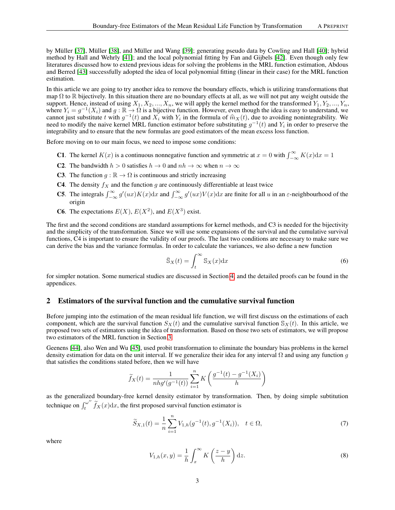by Müller [\[37\]](#page-10-14), Müller [\[38\]](#page-10-15), and Müller and Wang [\[39\]](#page-10-16); generating pseudo data by Cowling and Hall [\[40\]](#page-10-17); hybrid method by Hall and Wehrly [\[41\]](#page-10-18); and the local polynomial fitting by Fan and Gijbels [\[42\]](#page-10-19). Even though only few literatures discussed how to extend previous ideas for solving the problems in the MRL function estimation, Abdous and Berred [\[43\]](#page-10-20) successfully adopted the idea of local polynomial fitting (linear in their case) for the MRL function estimation.

In this article we are going to try another idea to remove the boundary effects, which is utilizing transformations that map  $\Omega$  to R bijectively. In this situation there are no boundary effects at all, as we will not put any weight outside the support. Hence, instead of using  $X_1, X_2, ..., X_n$ , we will apply the kernel method for the transformed  $Y_1, Y_2, ..., Y_n$ , where  $Y_i = g^{-1}(X_i)$  and  $g : \mathbb{R} \to \Omega$  is a bijective function. However, even though the idea is easy to understand, we cannot just substitute t with  $g^{-1}(t)$  and  $X_i$  with  $Y_i$  in the formula of  $\hat{m}_X(t)$ , due to avoiding nonintegrability. We<br>need to modify the naive kernel MRI function estimator before substituting  $g^{-1}(t)$  and Y in ord need to modify the naive kernel MRL function estimator before substituting  $g^{-1}(t)$  and  $Y_i$  in order to preserve the integrability and to ensure that the new formulas are good estimators of the mean excess loss function.

Before moving on to our main focus, we need to impose some conditions:

- **C1**. The kernel  $K(x)$  is a continuous nonnegative function and symmetric at  $x = 0$  with  $\int_{-\infty}^{\infty} K(x) dx = 1$
- **C2.** The bandwidth  $h > 0$  satisfies  $h \to 0$  and  $nh \to \infty$  when  $n \to \infty$
- **C3.** The function  $q : \mathbb{R} \to \Omega$  is continuous and strictly increasing
- **C4.** The density  $f_X$  and the function q are continuously differentiable at least twice
- **C5**. The integrals  $\int_{-\infty}^{\infty} g'(ux)K(x)dx$  and  $\int_{-\infty}^{\infty} g'(ux)V(x)dx$  are finite for all u in an  $\varepsilon$ -neighbourhood of the origin
- **C6**. The expectations  $E(X)$ ,  $E(X^2)$ , and  $E(X^3)$  exist.

The first and the second conditions are standard assumptions for kernel methods, and C3 is needed for the bijectivity and the simplicity of the transformation. Since we will use some expansions of the survival and the cumulative survival functions, C4 is important to ensure the validity of our proofs. The last two conditions are necessary to make sure we can derive the bias and the variance formulas. In order to calculate the variances, we also define a new function

$$
\bar{\mathbb{S}}_X(t) = \int_t^\infty \mathbb{S}_X(x) \mathrm{d}x \tag{6}
$$

for simpler notation. Some numerical studies are discussed in Section [4,](#page-5-1) and the detailed proofs can be found in the appendices.

#### 2 Estimators of the survival function and the cumulative survival function

Before jumping into the estimation of the mean residual life function, we will first discuss on the estimations of each component, which are the survival function  $S_X(t)$  and the cumulative survival function  $S_X(t)$ . In this article, we proposed two sets of estimators using the idea of transformation. Based on those two sets of estimators, we will propose two estimators of the MRL function in Section [3.](#page-4-0)

Geenens [\[44\]](#page-10-21), also Wen and Wu [\[45\]](#page-10-22), used probit transformation to eliminate the boundary bias problems in the kernel density estimation for data on the unit interval. If we generalize their idea for any interval  $\Omega$  and using any function q that satisfies the conditions stated before, then we will have

$$
\widetilde{f}_X(t)=\frac{1}{nhg'(g^{-1}(t))}\sum_{i=1}^nK\left(\frac{g^{-1}(t)-g^{-1}(X_i)}{h}\right)
$$

as the generalized boundary-free kernel density estimator by transformation. Then, by doing simple subtitution technique on  $\int_t^{\omega''}$  $\int_t^{\infty} f_X(x) dx$ , the first proposed survival function estimator is

$$
\widetilde{S}_{X,1}(t) = \frac{1}{n} \sum_{i=1}^{n} V_{1,h}(g^{-1}(t), g^{-1}(X_i)), \quad t \in \Omega,
$$
\n(7)

where

$$
V_{1,h}(x,y) = \frac{1}{h} \int_x^{\infty} K\left(\frac{z-y}{h}\right) dz.
$$
 (8)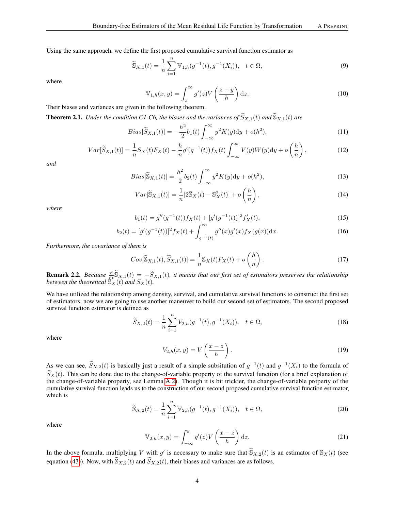Using the same approach, we define the first proposed cumulative survival function estimator as

$$
\widetilde{\mathbb{S}}_{X,1}(t) = \frac{1}{n} \sum_{i=1}^{n} \mathbb{V}_{1,h}(g^{-1}(t), g^{-1}(X_i)), \quad t \in \Omega,
$$
\n(9)

where

$$
\mathbb{V}_{1,h}(x,y) = \int_x^{\infty} g'(z)V\left(\frac{z-y}{h}\right)dz.
$$
\n(10)

Their biases and variances are given in the following theorem.

<span id="page-3-0"></span>**Theorem 2.1.** *Under the condition C1-C6, the biases and the variances of*  $\widetilde{S}_{X,1}(t)$  *and*  $\widetilde{S}_{X,1}(t)$  *are* 

$$
Bias[\widetilde{S}_{X,1}(t)] = -\frac{h^2}{2}b_1(t)\int_{-\infty}^{\infty} y^2 K(y) \mathrm{d}y + o(h^2),\tag{11}
$$

$$
Var[\widetilde{S}_{X,1}(t)] = \frac{1}{n} S_X(t) F_X(t) - \frac{h}{n} g'(g^{-1}(t)) f_X(t) \int_{-\infty}^{\infty} V(y) W(y) dy + o\left(\frac{h}{n}\right),\tag{12}
$$

*and*

$$
Bias[\widetilde{\mathbb{S}}_{X,1}(t)] = \frac{h^2}{2}b_2(t)\int_{-\infty}^{\infty} y^2 K(y) \mathrm{d}y + o(h^2),\tag{13}
$$

$$
Var[\widetilde{\mathbb{S}}_{X,1}(t)] = \frac{1}{n} [2\bar{\mathbb{S}}_X(t) - \mathbb{S}_X^2(t)] + o\left(\frac{h}{n}\right),\tag{14}
$$

*where*

$$
b_1(t) = g''(g^{-1}(t))f_X(t) + [g'(g^{-1}(t))]^2 f'_X(t),
$$
\n(15)

$$
b_2(t) = [g'(g^{-1}(t))]^2 f_X(t) + \int_{g^{-1}(t)}^{\infty} g''(x)g'(x) f_X(g(x)) \mathrm{d}x. \tag{16}
$$

*Furthermore, the covariance of them is*

$$
Cov[\widetilde{\mathbb{S}}_{X,1}(t), \widetilde{S}_{X,1}(t)] = \frac{1}{n} \mathbb{S}_X(t) F_X(t) + o\left(\frac{h}{n}\right).
$$
\n(17)

<span id="page-3-1"></span>**Remark 2.2.** *Because*  $\frac{d}{dt}\tilde{S}_{X,1}(t) = -\tilde{S}_{X,1}(t)$ , *it means that our first set of estimators preserves the relationship between the theoretical*  $\tilde{S}_X(t)$  *and*  $S_X(t)$ .

We have utilized the relationship among density, survival, and cumulative survival functions to construct the first set of estimators, now we are going to use another maneuver to build our second set of estimators. The second proposed survival function estimator is defined as

$$
\widetilde{S}_{X,2}(t) = \frac{1}{n} \sum_{i=1}^{n} V_{2,h}(g^{-1}(t), g^{-1}(X_i)), \quad t \in \Omega,
$$
\n(18)

where

$$
V_{2,h}(x,y) = V\left(\frac{x-z}{h}\right). \tag{19}
$$

As we can see,  $\widetilde{S}_{X,2}(t)$  is basically just a result of a simple subsitution of  $g^{-1}(t)$  and  $g^{-1}(X_i)$  to the formula of  $\hat{S}_X(t)$ . This can be done due to the change-of-variable property of the survival function (for a brief explanation of the change-of-variable property, see Lemma [A.2\)](#page-11-0). Though it is bit trickier, the change-of-variable property of the cumulative survival function leads us to the construction of our second proposed cumulative survival function estimator, which is

$$
\widetilde{\mathbb{S}}_{X,2}(t) = \frac{1}{n} \sum_{i=1}^{n} \mathbb{V}_{2,h}(g^{-1}(t), g^{-1}(X_i)), \quad t \in \Omega,
$$
\n(20)

where

$$
\mathbb{V}_{2,h}(x,y) = \int_{-\infty}^{y} g'(z) V\left(\frac{x-z}{h}\right) dz.
$$
 (21)

In the above formula, multiplying V with g' is necessary to make sure that  $\tilde{S}_{X,2}(t)$  is an estimator of  $S_X(t)$  (see equation [\(43\)](#page-11-1)). Now, with  $\widetilde{\mathbb{S}}_{X,2}(t)$  and  $\widetilde{S}_{X,2}(t)$ , their biases and variances are as follows.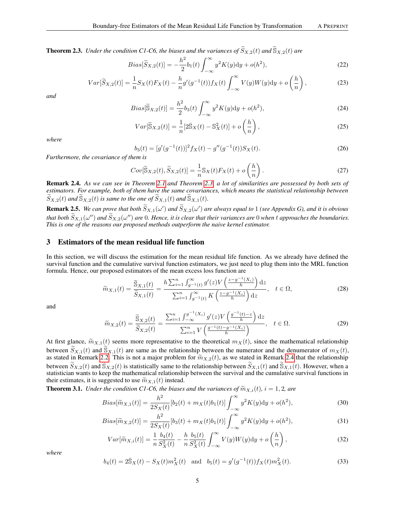<span id="page-4-1"></span>**Theorem 2.3.** *Under the condition C1-C6, the biases and the variances of*  $\widetilde{S}_{X,2}(t)$  *and*  $\widetilde{S}_{X,2}(t)$  *are* 

$$
Bias[\widetilde{S}_{X,2}(t)] = -\frac{h^2}{2}b_1(t)\int_{-\infty}^{\infty} y^2 K(y) \mathrm{d}y + o(h^2),\tag{22}
$$

$$
Var[\widetilde{S}_{X,2}(t)] = \frac{1}{n} S_X(t) F_X(t) - \frac{h}{n} g'(g^{-1}(t)) f_X(t) \int_{-\infty}^{\infty} V(y) W(y) \mathrm{d}y + o\left(\frac{h}{n}\right),\tag{23}
$$

*and*

$$
Bias[\widetilde{S}_{X,2}(t)] = \frac{h^2}{2} b_3(t) \int_{-\infty}^{\infty} y^2 K(y) dy + o(h^2), \qquad (24)
$$

$$
Var[\widetilde{\mathbb{S}}_{X,2}(t)] = \frac{1}{n} [2\bar{\mathbb{S}}_X(t) - \mathbb{S}_X^2(t)] + o\left(\frac{h}{n}\right),\tag{25}
$$

*where*

$$
b_3(t) = [g'(g^{-1}(t))]^2 f_X(t) - g''(g^{-1}(t)) S_X(t).
$$
\n(26)

*Furthermore, the covariance of them is*

$$
Cov[\widetilde{S}_{X,2}(t), \widetilde{S}_{X,2}(t)] = \frac{1}{n} S_X(t) F_X(t) + o\left(\frac{h}{n}\right).
$$
\n(27)

<span id="page-4-2"></span>Remark 2.4. *As we can see in Theorem [2.1](#page-3-0) and Theorem [2.3,](#page-4-1) a lot of similarities are possessed by both sets of estimators. For example, both of them have the same covariances, which means the statistical relationship between*  $\widetilde{S}_{X,2}(t)$  and  $\widetilde{S}_{X,2}(t)$  *is same to the one of*  $\widetilde{S}_{X,1}(t)$  *and*  $\widetilde{S}_{X,1}(t)$ *.* 

**Remark 2.5.** We can prove that both  $\widetilde{S}_{X,1}(\omega')$  and  $\widetilde{S}_{X,2}(\omega')$  are always equal to 1 (see Appendix G), and it is obvious *that both*  $\widetilde{S}_{X,1}(\omega'')$  *and*  $\widetilde{S}_{X,2}(\omega'')$  *are* 0*. Hence, it is clear that their variances are* 0 *when t approaches the boundaries. This is one of the reasons our proposed methods outperform the naive kernel estimator.*

### <span id="page-4-0"></span>3 Estimators of the mean residual life function

In this section, we will discuss the estimation for the mean residual life function. As we already have defined the survival function and the cumulative survival function estimators, we just need to plug them into the MRL function formula. Hence, our proposed estimators of the mean excess loss function are

$$
\widetilde{m}_{X,1}(t) = \frac{\widetilde{\mathbf{S}}_{X,1}(t)}{\widetilde{S}_{X,1}(t)} = \frac{h \sum_{i=1}^{n} \int_{g^{-1}(t)}^{\infty} g'(z) V\left(\frac{z - g^{-1}(X_i)}{h}\right) dz}{\sum_{i=1}^{n} \int_{g^{-1}(t)}^{\infty} K\left(\frac{z - g^{-1}(X_i)}{h}\right) dz}, \quad t \in \Omega,
$$
\n(28)

and

$$
\widetilde{m}_{X,2}(t) = \frac{\widetilde{\mathbb{S}}_{X,2}(t)}{\widetilde{S}_{X,2}(t)} = \frac{\sum_{i=1}^{n} \int_{-\infty}^{g^{-1}(X_i)} g'(z) V\left(\frac{g^{-1}(t) - z}{h}\right) dz}{\sum_{i=1}^{n} V\left(\frac{g^{-1}(t) - g^{-1}(X_i)}{h}\right)}, \quad t \in \Omega.
$$
\n(29)

At first glance,  $\widetilde{m}_{X,1}(t)$  seems more representative to the theoretical  $m_X(t)$ , since the mathematical relationship between  $\widetilde{S}_{X,1}(t)$  and  $\widetilde{S}_{X,1}(t)$  are same as the relationship between the numerator and the denumerator of  $m_X(t)$ , as stated in Remark [2.2.](#page-3-1) This is not a major problem for  $\widetilde{m}_{X,2}(t)$ , as we stated in Remark [2.4](#page-4-2) that the relationship between  $\widetilde{S}_{X,2}(t)$  and  $\widetilde{S}_{X,2}(t)$  is statistically same to the relationship between  $\widetilde{S}_{X,1}(t)$  and  $\widetilde{S}_{X,1}(t)$ . However, when a statistician wants to keep the mathematical relationship between the survival and the cumulative survival functions in their estimates, it is suggested to use  $\widetilde{m}_{X,1}(t)$  instead.

<span id="page-4-3"></span>**Theorem 3.1.** *Under the condition C1-C6, the biases and the variances of*  $\widetilde{m}_{X,i}(t)$ ,  $i = 1, 2$ , are

$$
Bias[\widetilde{m}_{X,1}(t)] = \frac{h^2}{2S_X(t)}[b_2(t) + m_X(t)b_1(t)] \int_{-\infty}^{\infty} y^2 K(y) dy + o(h^2), \tag{30}
$$

$$
Bias[\widetilde{m}_{X,2}(t)] = \frac{h^2}{2S_X(t)}[b_3(t) + m_X(t)b_1(t)] \int_{-\infty}^{\infty} y^2 K(y) dy + o(h^2), \tag{31}
$$

$$
Var[\widetilde{m}_{X,i}(t)] = \frac{1}{n} \frac{b_4(t)}{S_X^2(t)} - \frac{h}{n} \frac{b_5(t)}{S_X^2(t)} \int_{-\infty}^{\infty} V(y)W(y) \mathrm{d}y + o\left(\frac{h}{n}\right),\tag{32}
$$

*where*

$$
b_4(t) = 2\bar{S}_X(t) - S_X(t)m_X^2(t) \text{ and } b_5(t) = g'(g^{-1}(t))f_X(t)m_X^2(t).
$$
 (33)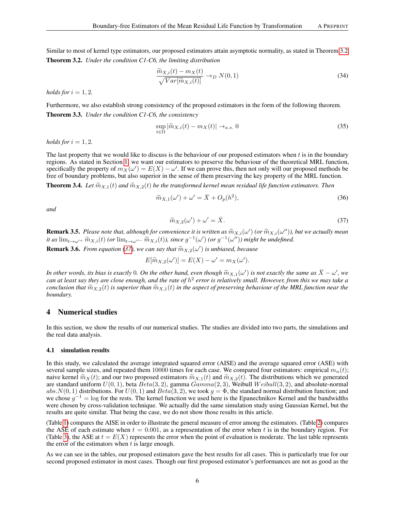<span id="page-5-2"></span>Similar to most of kernel type estimators, our proposed estimators attain asymptotic normality, as stated in Theorem [3.2.](#page-5-2) Theorem 3.2. *Under the condition C1-C6, the limiting distribution*

$$
\frac{\widetilde{m}_{X,i}(t) - m_X(t)}{\sqrt{Var[\widetilde{m}_{X,i}(t)]}} \to_D N(0,1)
$$
\n(34)

*holds for*  $i = 1, 2$ *.* 

<span id="page-5-5"></span>Furthermore, we also establish strong consistency of the proposed estimators in the form of the following theorem. Theorem 3.3. *Under the condition C1-C6, the consistency*

$$
\sup_{t \in \Omega} |\widetilde{m}_{X,i}(t) - m_X(t)| \to_{a.s.} 0
$$
\n(35)

*holds for*  $i = 1, 2$ *.* 

The last property that we would like to discuss is the behaviour of our proposed estimators when  $t$  is in the boundary regions. As stated in Section [1,](#page-0-0) we want our estimators to preserve the behaviour of the theoretical MRL function, specifically the property of  $m_X(\omega') = E(X) - \omega'$ . If we can prove this, then not only will our proposed methods be free of boundary problems, but also superior in the sense of them preserving the key property of the MRL function.

<span id="page-5-4"></span>**Theorem 3.4.** *Let*  $\widetilde{m}_{X,1}(t)$  *and*  $\widetilde{m}_{X,2}(t)$  *be the transformed kernel mean residual life function estimators. Then* 

$$
\widetilde{m}_{X,1}(\omega') + \omega' = \overline{X} + O_p(h^2),\tag{36}
$$

*and*

<span id="page-5-3"></span>
$$
\widetilde{m}_{X,2}(\omega') + \omega' = \bar{X}.\tag{37}
$$

**Remark 3.5.** *Please note that, although for convenience it is written as*  $\widetilde{m}_{X,i}(\omega')$  (or  $\widetilde{m}_{X,i}(\omega'')$ ), but we actually mean it as  $\lim_{\omega \to \widetilde{m}_{X,i}}(t)$  (or  $\widetilde{m}_{X,i}(\omega'')$ ) might be undefined *it as*  $\lim_{t\to\omega'^+} \widetilde{m}_{X,i}(t)$  *(or*  $\lim_{t\to\omega''^-} \widetilde{m}_{X,i}(t)$ *), since*  $g^{-1}(\omega')$  *(or*  $g^{-1}(\omega'')$ *) might be undefined.* 

**Remark 3.6.** *From equation [\(37\)](#page-5-3), we can say that*  $\widetilde{m}_{X,2}(\omega')$  *is unbiased, because* 

$$
E[\widetilde{m}_{X,2}(\omega')] = E(X) - \omega' = m_X(\omega').
$$

*In other words, its bias is exactly* 0. On the other hand, even though  $\widetilde{m}_{X,1}(\omega')$  is not exactly the same as  $\overline{X} - \omega'$ , we *can at least say they are close enough, and the rate of* h 2 *error is relatively small. However, from this we may take a conclusion that*  $\widetilde{m}_{X,2}(t)$  *is superior than*  $\widetilde{m}_{X,1}(t)$  *in the aspect of preserving behaviour of the MRL function near the boundary.*

#### <span id="page-5-1"></span>4 Numerical studies

In this section, we show the results of our numerical studies. The studies are divided into two parts, the simulations and the real data analysis.

#### <span id="page-5-0"></span>4.1 simulation results

In this study, we calculated the average integrated squared error (AISE) and the average squared error (ASE) with several sample sizes, and repeated them 10000 times for each case. We compared four estimators: empirical  $m_n(t)$ ; naive kernel  $\hat{m}_X(t)$ ; and our two proposed estimators  $\tilde{m}_{X,1}(t)$  and  $\tilde{m}_{X,2}(t)$ . The distributions which we generated are standard uniform  $U(0, 1)$ , beta  $Beta(3, 2)$ , gamma  $Gamma(2, 3)$ , Weibull  $Weibull(3, 2)$ , and absolute-normal abs.  $N(0, 1)$  distributions. For  $U(0, 1)$  and  $Beta(3, 2)$ , we took  $g = \Phi$ , the standard normal distribution function; and we chose  $g^{-1} = \log$  for the rests. The kernel function we used here is the Epanechnikov Kernel and the bandwidths were chosen by cross-validation technique. We actually did the same simulation study using Gaussian Kernel, but the results are quite similar. That being the case, we do not show those results in this article.

(Table [1\)](#page-6-0) compares the AISE in order to illustrate the general measure of error among the estimators. (Table [2\)](#page-6-1) compares the ASE of each estimate when  $t = 0.001$ , as a representation of the error when t is in the boundary region. For (Table [3\)](#page-6-2), the ASE at  $t = E(X)$  represents the error when the point of evaluation is moderate. The last table represents the error of the estimators when  $t$  is large enough.

As we can see in the tables, our proposed estimators gave the best results for all cases. This is particularly true for our second proposed estimator in most cases. Though our first proposed estimator's performances are not as good as the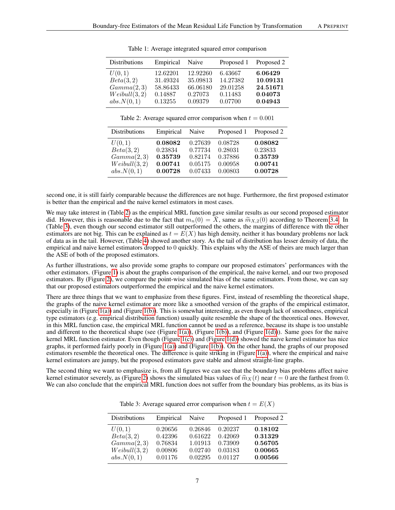| Distributions           | Empirical            | Naive                | Proposed 1           | Proposed 2           |
|-------------------------|----------------------|----------------------|----------------------|----------------------|
| U(0,1)                  | 12.62201             | 12.92260             | 6.43667              | 6.06429              |
| Beta(3,2)<br>Gamma(2,3) | 31.49324<br>58.86433 | 35.09813<br>66.06180 | 14.27382<br>29.01258 | 10.09131<br>24.51671 |
| Weibull(3,2)            | 0.14887              | 0.27073              | 0.11483              | 0.04073              |
| abs.N(0,1)              | 0.13255              | 0.09379              | 0.07700              | 0.04943              |

<span id="page-6-0"></span>Table 1: Average integrated squared error comparison

<span id="page-6-1"></span>Table 2: Average squared error comparison when  $t = 0.001$ 

| Distributions | Empirical | Naive   | Proposed 1 | Proposed 2 |
|---------------|-----------|---------|------------|------------|
| U(0,1)        | 0.08082   | 0.27639 | 0.08728    | 0.08082    |
| Beta(3,2)     | 0.23834   | 0.77734 | 0.28031    | 0.23833    |
| Gamma(2,3)    | 0.35739   | 0.82174 | 0.37886    | 0.35739    |
| Weibull(3,2)  | 0.00741   | 0.05175 | 0.00958    | 0.00741    |
| abs.N(0,1)    | 0.00728   | 0.07433 | 0.00803    | 0.00728    |

second one, it is still fairly comparable because the differences are not huge. Furthermore, the first proposed estimator is better than the empirical and the naive kernel estimators in most cases.

We may take interest in (Table [2\)](#page-6-1) as the empirical MRL function gave similar results as our second proposed estimator did. However, this is reasonable due to the fact that  $m_n(0) = \overline{X}$ , same as  $\widetilde{m}_{X,2}(0)$  according to Theorem [3.4.](#page-5-4) In (Table [3\)](#page-6-2), even though our second estimator still outperformed the others, the margins of difference with the other estimators are not big. This can be explained as  $t = E(X)$  has high density, neither it has boundary problems nor lack of data as in the tail. However, (Table [4\)](#page-7-0) showed another story. As the tail of distribution has lesser density of data, the empirical and naive kernel estimators dropped to 0 quickly. This explains why the ASE of theirs are much larger than the ASE of both of the proposed estimators.

As further illustrations, we also provide some graphs to compare our proposed estimators' performances with the other estimators. (Figure [1\)](#page-7-1) is about the graphs comparison of the empirical, the naive kernel, and our two proposed estimators. By (Figure [2\)](#page-8-0), we compare the point-wise simulated bias of the same estimators. From those, we can say that our proposed estimators outperformed the empirical and the naive kernel estimators.

There are three things that we want to emphasize from these figures. First, instead of resembling the theoretical shape, the graphs of the naive kernel estimator are more like a smoothed version of the graphs of the empirical estimator, especially in (Figure [1\(a\)\)](#page-7-2) and (Figure [1\(b\)\)](#page-7-3). This is somewhat interesting, as even though lack of smoothness, empirical type estimators (e.g. empirical distribution function) usually quite resemble the shape of the theoretical ones. However, in this MRL function case, the empirical MRL function cannot be used as a reference, because its shape is too unstable and different to the theoretical shape (see (Figure [1\(a\)\)](#page-7-2), (Figure [1\(b\)\)](#page-7-3), and (Figure [1\(d\)\)](#page-7-4)). Same goes for the naive kernel MRL function estimator. Even though (Figure [1\(c\)\)](#page-7-5) and (Figure [1\(d\)\)](#page-7-4) showed the naive kernel estimator has nice graphs, it performed fairly poorly in (Figure [1\(a\)\)](#page-7-2) and (Figure [1\(b\)\)](#page-7-3). On the other hand, the graphs of our proposed estimators resemble the theoretical ones. The difference is quite striking in (Figure [1\(a\)\)](#page-7-2), where the empirical and naive kernel estimators are jumpy, but the proposed estimators gave stable and almost straight-line graphs.

The second thing we want to emphasize is, from all figures we can see that the boundary bias problems affect naive kernel estimator severely, as (Figure [2\)](#page-8-0) shows the simulated bias values of  $\hat{m}_X(t)$  near  $t = 0$  are the farthest from 0. We can also conclude that the empirical MRL function does not suffer from the boundary bias problems, as its bias is

| Distributions | Empirical | Naive   | Proposed 1 | Proposed 2 |
|---------------|-----------|---------|------------|------------|
| U(0,1)        | 0.20656   | 0.26846 | 0.20237    | 0.18102    |
| Beta(3,2)     | 0.42396   | 0.61622 | 0.42069    | 0.31329    |
| Gamma(2,3)    | 0.76834   | 1.01913 | 0.73909    | 0.56705    |
| Weibull(3,2)  | 0.00806   | 0.02740 | 0.03183    | 0.00665    |
| abs.N(0,1)    | 0.01176   | 0.02295 | 0.01127    | 0.00566    |

<span id="page-6-2"></span>Table 3: Average squared error comparison when  $t = E(X)$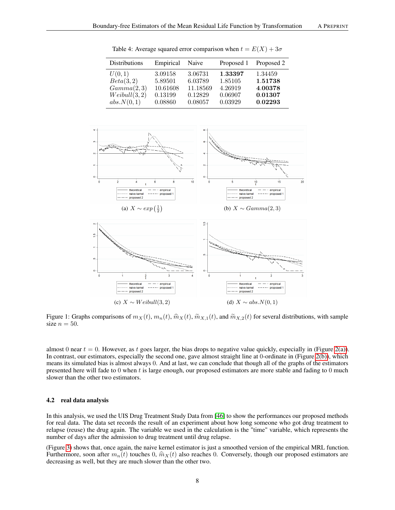| Distributions | Empirical | Naive    |         | Proposed 1 Proposed 2 |
|---------------|-----------|----------|---------|-----------------------|
| U(0,1)        | 3.09158   | 3.06731  | 1.33397 | 1.34459               |
| Beta(3,2)     | 5.89501   | 6.03789  | 1.85105 | 1.51738               |
| Gamma(2,3)    | 10.61608  | 11.18569 | 4.26919 | 4.00378               |
| Weibull(3,2)  | 0.13199   | 0.12829  | 0.06907 | 0.01307               |
| abs.N(0,1)    | 0.08860   | 0.08057  | 0.03929 | 0.02293               |

<span id="page-7-0"></span>Table 4: Average squared error comparison when  $t = E(X) + 3\sigma$ 

<span id="page-7-3"></span><span id="page-7-2"></span>

<span id="page-7-5"></span><span id="page-7-4"></span><span id="page-7-1"></span>Figure 1: Graphs comparisons of  $m_X(t)$ ,  $m_n(t)$ ,  $\hat{m}_X(t)$ ,  $\tilde{m}_{X,1}(t)$ , and  $\tilde{m}_{X,2}(t)$  for several distributions, with sample size  $n = 50$ .

almost 0 near  $t = 0$ . However, as t goes larger, the bias drops to negative value quickly, especially in (Figure [2\(a\)\)](#page-8-1). In contrast, our estimators, especially the second one, gave almost straight line at 0-ordinate in (Figure [2\(b\)\)](#page-8-2), which means its simulated bias is almost always 0. And at last, we can conclude that though all of the graphs of the estimators presented here will fade to 0 when t is large enough, our proposed estimators are more stable and fading to 0 much slower than the other two estimators.

#### 4.2 real data analysis

In this analysis, we used the UIS Drug Treatment Study Data from [\[46\]](#page-10-23) to show the performances our proposed methods for real data. The data set records the result of an experiment about how long someone who got drug treatment to relapse (reuse) the drug again. The variable we used in the calculation is the "time" variable, which represents the number of days after the admission to drug treatment until drug relapse.

(Figure [3\)](#page-8-3) shows that, once again, the naive kernel estimator is just a smoothed version of the empirical MRL function. Furthermore, soon after  $m_n(t)$  touches 0,  $\hat{m}_X(t)$  also reaches 0. Conversely, though our proposed estimators are decreasing as well, but they are much slower than the other two.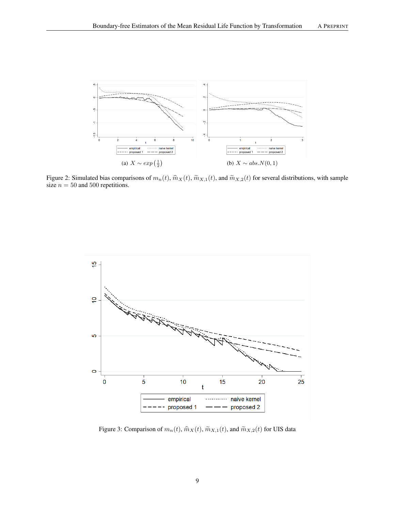<span id="page-8-2"></span><span id="page-8-1"></span>

<span id="page-8-0"></span>Figure 2: Simulated bias comparisons of  $m_n(t)$ ,  $\hat{m}_X(t)$ ,  $\hat{m}_{X,1}(t)$ , and  $\hat{m}_{X,2}(t)$  for several distributions, with sample size  $n = 50$  and 500 repetitions.



<span id="page-8-3"></span>Figure 3: Comparison of  $m_n(t),$   $\widehat{m}_{X}(t),$   $\widetilde{m}_{X,1}(t),$  and  $\widetilde{m}_{X,2}(t)$  for UIS data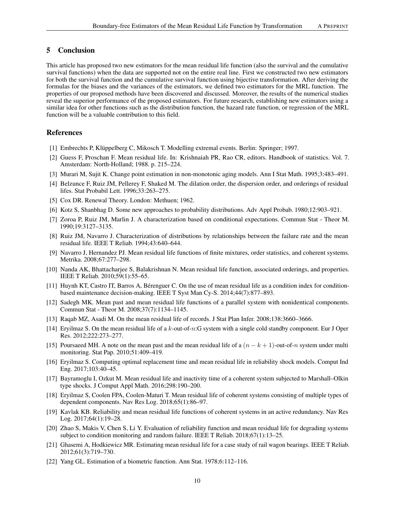## 5 Conclusion

This article has proposed two new estimators for the mean residual life function (also the survival and the cumulative survival functions) when the data are supported not on the entire real line. First we constructed two new estimators for both the survival function and the cumulative survival function using bijective transformation. After deriving the formulas for the biases and the variances of the estimators, we defined two estimators for the MRL function. The properties of our proposed methods have been discovered and discussed. Moreover, the results of the numerical studies reveal the superior performance of the proposed estimators. For future research, establishing new estimators using a similar idea for other functions such as the distribution function, the hazard rate function, or regression of the MRL function will be a valuable contribution to this field.

## **References**

- <span id="page-9-0"></span>[1] Embrechts P, Klüppelberg C, Mikosch T. Modelling extremal events. Berlin: Springer; 1997.
- <span id="page-9-1"></span>[2] Guess F, Proschan F. Mean residual life. In: Krishnaiah PR, Rao CR, editors. Handbook of statistics. Vol. 7. Amsterdam: North-Holland; 1988. p. 215–224.
- <span id="page-9-2"></span>[3] Murari M, Sujit K. Change point estimation in non-monotonic aging models. Ann I Stat Math. 1995;3:483–491.
- <span id="page-9-3"></span>[4] Belzunce F, Ruiz JM, Pellerey F, Shaked M. The dilation order, the dispersion order, and orderings of residual lifes. Stat Probabil Lett. 1996;33:263–275.
- <span id="page-9-4"></span>[5] Cox DR. Renewal Theory. London: Methuen; 1962.
- <span id="page-9-5"></span>[6] Kotz S, Shanbhag D. Some new approaches to probability distributions. Adv Appl Probab. 1980;12:903–921.
- <span id="page-9-6"></span>[7] Zoroa P, Ruiz JM, Marlin J. A characterization based on conditional expectations. Commun Stat - Theor M. 1990;19:3127–3135.
- <span id="page-9-7"></span>[8] Ruiz JM, Navarro J. Characterization of distributions by relationships between the failure rate and the mean residual life. IEEE T Reliab. 1994;43:640–644.
- <span id="page-9-8"></span>[9] Navarro J, Hernandez PJ. Mean residual life functions of finite mixtures, order statistics, and coherent systems. Metrika. 2008;67:277–298.
- <span id="page-9-9"></span>[10] Nanda AK, Bhattacharjee S, Balakrishnan N. Mean residual life function, associated orderings, and properties. IEEE T Reliab. 2010;59(1):55–65.
- <span id="page-9-10"></span>[11] Huynh KT, Castro IT, Barros A, Bérenguer C. On the use of mean residual life as a condition index for conditionbased maintenance decision-making. IEEE T Syst Man Cy-S. 2014;44(7):877–893.
- <span id="page-9-11"></span>[12] Sadegh MK. Mean past and mean residual life functions of a parallel system with nonidentical components. Commun Stat - Theor M. 2008;37(7):1134–1145.
- <span id="page-9-12"></span>[13] Raqab MZ, Asadi M. On the mean residual life of records. J Stat Plan Infer. 2008;138:3660–3666.
- <span id="page-9-13"></span>[14] Eryilmaz S. On the mean residual life of a  $k$ -out-of-n:G system with a single cold standby component. Eur J Oper Res. 2012;222:273–277.
- <span id="page-9-14"></span>[15] Poursaeed MH. A note on the mean past and the mean residual life of a  $(n - k + 1)$ -out-of-n system under multi monitoring. Stat Pap. 2010;51:409–419.
- <span id="page-9-15"></span>[16] Eryilmaz S. Computing optimal replacement time and mean residual life in reliability shock models. Comput Ind Eng. 2017;103:40–45.
- <span id="page-9-16"></span>[17] Bayramoglu I, Ozkut M. Mean residual life and inactivity time of a coherent system subjected to Marshall–Olkin type shocks. J Comput Appl Math. 2016;298:190–200.
- <span id="page-9-17"></span>[18] Eryilmaz S, Coolen FPA, Coolen-Maturi T. Mean residual life of coherent systems consisting of multiple types of dependent components. Nav Res Log. 2018;65(1):86–97.
- <span id="page-9-18"></span>[19] Kavlak KB. Reliability and mean residual life functions of coherent systems in an active redundancy. Nav Res Log. 2017;64(1):19–28.
- <span id="page-9-19"></span>[20] Zhao S, Makis V, Chen S, Li Y. Evaluation of reliability function and mean residual life for degrading systems subject to condition monitoring and random failure. IEEE T Reliab. 2018;67(1):13–25.
- <span id="page-9-20"></span>[21] Ghasemi A, Hodkiewicz MR. Estimating mean residual life for a case study of rail wagon bearings. IEEE T Reliab. 2012;61(3):719–730.
- <span id="page-9-21"></span>[22] Yang GL. Estimation of a biometric function. Ann Stat. 1978;6:112–116.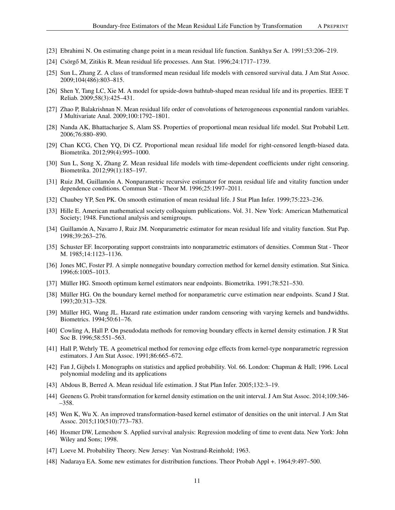- <span id="page-10-0"></span>[23] Ebrahimi N. On estimating change point in a mean residual life function. Sankhya Ser A. 1991;53:206–219.
- <span id="page-10-1"></span> $[24]$  Csörgő M, Zitikis R. Mean residual life processes. Ann Stat. 1996;24:1717–1739.
- <span id="page-10-2"></span>[25] Sun L, Zhang Z. A class of transformed mean residual life models with censored survival data. J Am Stat Assoc. 2009;104(486):803–815.
- <span id="page-10-3"></span>[26] Shen Y, Tang LC, Xie M. A model for upside-down bathtub-shaped mean residual life and its properties. IEEE T Reliab. 2009;58(3):425–431.
- <span id="page-10-4"></span>[27] Zhao P, Balakrishnan N. Mean residual life order of convolutions of heterogeneous exponential random variables. J Multivariate Anal. 2009;100:1792–1801.
- <span id="page-10-5"></span>[28] Nanda AK, Bhattacharjee S, Alam SS. Properties of proportional mean residual life model. Stat Probabil Lett. 2006;76:880–890.
- <span id="page-10-6"></span>[29] Chan KCG, Chen YQ, Di CZ. Proportional mean residual life model for right-censored length-biased data. Biometrika. 2012;99(4):995–1000.
- <span id="page-10-7"></span>[30] Sun L, Song X, Zhang Z. Mean residual life models with time-dependent coefficients under right censoring. Biometrika. 2012;99(1):185–197.
- <span id="page-10-8"></span>[31] Ruiz JM, Guillamón A. Nonparametric recursive estimator for mean residual life and vitality function under dependence conditions. Commun Stat - Theor M. 1996;25:1997–2011.
- <span id="page-10-9"></span>[32] Chaubey YP, Sen PK. On smooth estimation of mean residual life. J Stat Plan Infer. 1999;75:223–236.
- <span id="page-10-10"></span>[33] Hille E. American mathematical society colloquium publications. Vol. 31. New York: American Mathematical Society; 1948. Functional analysis and semigroups.
- <span id="page-10-11"></span>[34] Guillamón A, Navarro J, Ruiz JM. Nonparametric estimator for mean residual life and vitality function. Stat Pap. 1998;39:263–276.
- <span id="page-10-12"></span>[35] Schuster EF. Incorporating support constraints into nonparametric estimators of densities. Commun Stat - Theor M. 1985;14:1123–1136.
- <span id="page-10-13"></span>[36] Jones MC, Foster PJ. A simple nonnegative boundary correction method for kernel density estimation. Stat Sinica. 1996;6:1005–1013.
- <span id="page-10-14"></span>[37] Müller HG. Smooth optimum kernel estimators near endpoints. Biometrika. 1991;78:521–530.
- <span id="page-10-15"></span>[38] Müller HG. On the boundary kernel method for nonparametric curve estimation near endpoints. Scand J Stat. 1993;20:313–328.
- <span id="page-10-16"></span>[39] Müller HG, Wang JL. Hazard rate estimation under random censoring with varying kernels and bandwidths. Biometrics. 1994;50:61–76.
- <span id="page-10-17"></span>[40] Cowling A, Hall P. On pseudodata methods for removing boundary effects in kernel density estimation. J R Stat Soc B. 1996;58:551–563.
- <span id="page-10-18"></span>[41] Hall P, Wehrly TE. A geometrical method for removing edge effects from kernel-type nonparametric regression estimators. J Am Stat Assoc. 1991;86:665–672.
- <span id="page-10-19"></span>[42] Fan J, Gijbels I. Monographs on statistics and applied probability. Vol. 66. London: Chapman & Hall; 1996. Local polynomial modeling and its applications
- <span id="page-10-20"></span>[43] Abdous B, Berred A. Mean residual life estimation. J Stat Plan Infer. 2005;132:3–19.
- <span id="page-10-21"></span>[44] Geenens G. Probit transformation for kernel density estimation on the unit interval. J Am Stat Assoc. 2014;109:346- –358.
- <span id="page-10-22"></span>[45] Wen K, Wu X. An improved transformation-based kernel estimator of densities on the unit interval. J Am Stat Assoc. 2015;110(510):773–783.
- <span id="page-10-23"></span>[46] Hosmer DW, Lemeshow S. Applied survival analysis: Regression modeling of time to event data. New York: John Wiley and Sons; 1998.
- <span id="page-10-24"></span>[47] Loeve M. Probability Theory. New Jersey: Van Nostrand-Reinhold; 1963.
- <span id="page-10-25"></span>[48] Nadaraya EA. Some new estimates for distribution functions. Theor Probab Appl +. 1964;9:497–500.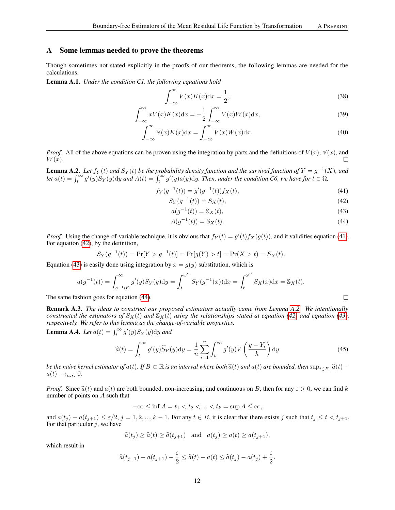#### A Some lemmas needed to prove the theorems

Though sometimes not stated explicitly in the proofs of our theorems, the following lemmas are needed for the calculations.

Lemma A.1. *Under the condition C1, the following equations hold*

$$
\int_{-\infty}^{\infty} V(x)K(x)dx = \frac{1}{2},\tag{38}
$$

$$
\int_{-\infty}^{\infty} xV(x)K(x)dx = -\frac{1}{2} \int_{-\infty}^{\infty} V(x)W(x)dx,
$$
\n(39)

$$
\int_{-\infty}^{\infty} \mathbb{V}(x)K(x)dx = \int_{-\infty}^{\infty} V(x)W(x)dx.
$$
 (40)

*Proof.* All of the above equations can be proven using the integration by parts and the definitions of  $V(x)$ ,  $V(x)$ , and  $W(x)$ .  $\Box$ 

<span id="page-11-0"></span>**Lemma A.2.** Let  $f_Y(t)$  and  $S_Y(t)$  be the probability density function and the survival function of  $Y = g^{-1}(X)$ , and Let  $a(t) = \int_t^{\infty} g'(y)S_Y(y)dy$  and  $A(t) = \int_t^{\infty} g'(y)a(y)dy$ . Then, under the condition C6, we have for  $t \in \Omega$ ,

$$
f_Y(g^{-1}(t)) = g'(g^{-1}(t))f_X(t),
$$
\n(41)

$$
S_Y(g^{-1}(t)) = S_X(t),
$$
\n(42)

<span id="page-11-4"></span><span id="page-11-3"></span><span id="page-11-2"></span><span id="page-11-1"></span>
$$
a(g^{-1}(t)) = S_X(t),
$$
\n(43)

$$
A(g^{-1}(t)) = \bar{S}_X(t).
$$
 (44)

*Proof.* Using the change-of-variable technique, it is obvious that  $f_Y(t) = g'(t)f_X(g(t))$ , and it validifies equation [\(41\)](#page-11-2). For equation [\(42\)](#page-11-3), by the definition,

$$
S_Y(g^{-1}(t)) = \Pr[Y > g^{-1}(t)] = \Pr[g(Y) > t] = \Pr(X > t) = S_X(t).
$$

Equation [\(43\)](#page-11-1) is easily done using integration by  $x = g(y)$  substitution, which is

$$
a(g^{-1}(t)) = \int_{g^{-1}(t)}^{\infty} g'(y) S_Y(y) dy = \int_{t}^{\omega''} S_Y(g^{-1}(x)) dx = \int_{t}^{\omega''} S_X(x) dx = S_X(t).
$$
  
shion goes for equation (44).

The same fashion goes for equation [\(44\)](#page-11-4).

Remark A.3. *The ideas to construct our proposed estimators actually came from Lemma [A.2.](#page-11-0) We intentionally constructed the estimators of*  $S_X(t)$  *and*  $S_X(t)$  *using the relationships stated at equation [\(42\)](#page-11-3) and equation [\(43\)](#page-11-1), respectively. We refer to this lemma as the change-of-variable properties.*

<span id="page-11-5"></span>**Lemma A.4.** Let  $a(t) = \int_t^{\infty} g'(y)S_Y(y)dy$  and

$$
\widehat{a}(t) = \int_t^{\infty} g'(y)\widehat{S}_Y(y)dy = \frac{1}{n}\sum_{i=1}^n \int_t^{\infty} g'(y)V\left(\frac{y-Y_i}{h}\right)dy\tag{45}
$$

*be the naive kernel estimator of*  $a(t)$ *. If*  $B \subset \mathbb{R}$  *is an interval where both*  $\hat{a}(t)$  *and*  $a(t)$  *are bounded, then*  $\sup_{t\in B} |\hat{a}(t) - b|$  $a(t)| \rightarrow_{a.s.} 0.$ 

*Proof.* Since  $\hat{a}(t)$  and  $a(t)$  are both bounded, non-increasing, and continuous on B, then for any  $\varepsilon > 0$ , we can find k number of points on A such that

$$
-\infty \le \inf A = t_1 < t_2 < \dots < t_k = \sup A \le \infty,
$$

and  $a(t_j) - a(t_{j+1}) \leq \varepsilon/2$ ,  $j = 1, 2, ..., k-1$ . For any  $t \in B$ , it is clear that there exists j such that  $t_j \leq t < t_{j+1}$ . For that particular  $j$ , we have

$$
\widehat{a}(t_j) \ge \widehat{a}(t) \ge \widehat{a}(t_{j+1})
$$
 and  $a(t_j) \ge a(t) \ge a(t_{j+1}),$ 

which result in

$$
\widehat{a}(t_{j+1}) - a(t_{j+1}) - \frac{\varepsilon}{2} \leq \widehat{a}(t) - a(t) \leq \widehat{a}(t_j) - a(t_j) + \frac{\varepsilon}{2}.
$$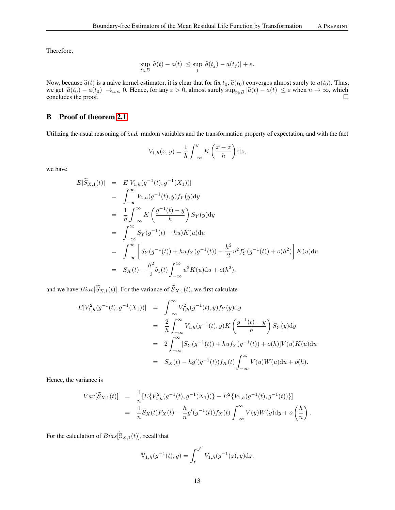Therefore,

$$
\sup_{t \in B} |\widehat{a}(t) - a(t)| \le \sup_j |\widehat{a}(t_j) - a(t_j)| + \varepsilon.
$$

Now, because  $\hat{a}(t)$  is a naive kernel estimator, it is clear that for fix  $t_0$ ,  $\hat{a}(t_0)$  converges almost surely to  $a(t_0)$ . Thus,  $\hat{a}(t_0) = a(t_0) - a(t_0)$   $\rightarrow \infty$  which we get  $|\hat{a}(t_0) - a(t_0)| \rightarrow_{a.s.} 0$ . Hence, for any  $\varepsilon > 0$ , almost surely  $\sup_{t \in B} |\hat{a}(t) - a(t)| \le \varepsilon$  when  $n \to \infty$ , which concludes the proof concludes the proof.

# B Proof of theorem [2.1](#page-3-0)

Utilizing the usual reasoning of *i.i.d.* random variables and the transformation property of expectation, and with the fact

$$
V_{1,h}(x,y) = \frac{1}{h} \int_{-\infty}^{y} K\left(\frac{x-z}{h}\right) dz,
$$

we have

$$
E[\tilde{S}_{X,1}(t)] = E[V_{1,h}(g^{-1}(t), g^{-1}(X_1))]
$$
  
\n
$$
= \int_{-\infty}^{\infty} V_{1,h}(g^{-1}(t), y) f_Y(y) dy
$$
  
\n
$$
= \frac{1}{h} \int_{-\infty}^{\infty} K\left(\frac{g^{-1}(t) - y}{h}\right) S_Y(y) dy
$$
  
\n
$$
= \int_{-\infty}^{\infty} S_Y(g^{-1}(t) - hu) K(u) du
$$
  
\n
$$
= \int_{-\infty}^{\infty} \left[ S_Y(g^{-1}(t)) + hu f_Y(g^{-1}(t)) - \frac{h^2}{2} u^2 f'_Y(g^{-1}(t)) + o(h^2) \right] K(u) du
$$
  
\n
$$
= S_X(t) - \frac{h^2}{2} b_1(t) \int_{-\infty}^{\infty} u^2 K(u) du + o(h^2),
$$

and we have  $Bias[\tilde{S}_{X,1}(t)]$ . For the variance of  $\tilde{S}_{X,1}(t)$ , we first calculate

$$
E[V_{1,h}^{2}(g^{-1}(t), g^{-1}(X_{1}))] = \int_{-\infty}^{\infty} V_{1,h}^{2}(g^{-1}(t), y) f_{Y}(y) dy
$$
  
\n
$$
= \frac{2}{h} \int_{-\infty}^{\infty} V_{1,h}(g^{-1}(t), y) K\left(\frac{g^{-1}(t) - y}{h}\right) S_{Y}(y) dy
$$
  
\n
$$
= 2 \int_{-\infty}^{\infty} [S_{Y}(g^{-1}(t)) + hu f_{Y}(g^{-1}(t)) + o(h)] V(u) K(u) du
$$
  
\n
$$
= S_{X}(t) - hg'(g^{-1}(t)) f_{X}(t) \int_{-\infty}^{\infty} V(u) W(u) du + o(h).
$$

Hence, the variance is

$$
Var[\tilde{S}_{X,1}(t)] = \frac{1}{n} [E\{V_{1,h}^2(g^{-1}(t), g^{-1}(X_1))\} - E^2\{V_{1,h}(g^{-1}(t), g^{-1}(t))\}]
$$
  
= 
$$
\frac{1}{n} S_X(t) F_X(t) - \frac{h}{n} g'(g^{-1}(t)) f_X(t) \int_{-\infty}^{\infty} V(y) W(y) dy + o\left(\frac{h}{n}\right).
$$

For the calculation of  $Bias[\widetilde{S}_{X,1}(t)]$ , recall that

$$
\mathbb{V}_{1,h}(g^{-1}(t),y) = \int_t^{\omega''} V_{1,h}(g^{-1}(z),y) \mathrm{d}z,
$$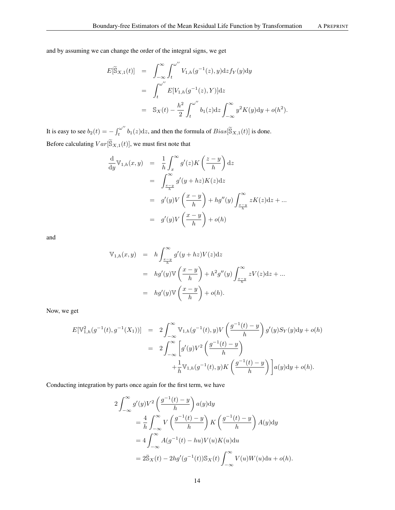and by assuming we can change the order of the integral signs, we get

$$
E[\widetilde{S}_{X,1}(t)] = \int_{-\infty}^{\infty} \int_{t}^{\omega''} V_{1,h}(g^{-1}(z), y) dz f_Y(y) dy
$$
  
= 
$$
\int_{t}^{\omega''} E[V_{1,h}(g^{-1}(z), Y)] dz
$$
  
= 
$$
S_X(t) - \frac{h^2}{2} \int_{t}^{\omega''} b_1(z) dz \int_{-\infty}^{\infty} y^2 K(y) dy + o(h^2).
$$

It is easy to see  $b_2(t) = -\int_t^{\omega''}$  $t_t^{\omega''} b_1(z) dz$ , and then the formula of  $Bias[\tilde{S}_{X,1}(t)]$  is done. Before calculating  $Var[\widetilde{\mathbb{S}}_{X,1}(t)],$  we must first note that

$$
\frac{d}{dy}\mathbb{V}_{1,h}(x,y) = \frac{1}{h} \int_x^{\infty} g'(z)K\left(\frac{z-y}{h}\right) dz
$$
  
\n
$$
= \int_{\frac{x-y}{h}}^{\infty} g'(y+hz)K(z) dz
$$
  
\n
$$
= g'(y)V\left(\frac{x-y}{h}\right) + hg''(y) \int_{\frac{x-y}{h}}^{\infty} zK(z) dz + ...
$$
  
\n
$$
= g'(y)V\left(\frac{x-y}{h}\right) + o(h)
$$

and

$$
\begin{array}{rcl}\n\mathbb{V}_{1,h}(x,y) & = & h \int_{\frac{x-y}{h}}^{\infty} g'(y+hz) V(z) \mathrm{d}z \\
& = & hg'(y) \mathbb{V}\left(\frac{x-y}{h}\right) + h^2 g''(y) \int_{\frac{x-y}{h}}^{\infty} zV(z) \mathrm{d}z + \dots \\
& = & hg'(y) \mathbb{V}\left(\frac{x-y}{h}\right) + o(h).\n\end{array}
$$

Now, we get

$$
E[\mathbb{V}_{1,h}^{2}(g^{-1}(t), g^{-1}(X_{1}))] = 2 \int_{-\infty}^{\infty} \mathbb{V}_{1,h}(g^{-1}(t), y) V\left(\frac{g^{-1}(t) - y}{h}\right) g'(y) S_{Y}(y) dy + o(h)
$$
  

$$
= 2 \int_{-\infty}^{\infty} \left[ g'(y) V^{2}\left(\frac{g^{-1}(t) - y}{h}\right) + \frac{1}{h} \mathbb{V}_{1,h}(g^{-1}(t), y) K\left(\frac{g^{-1}(t) - y}{h}\right) \right] a(y) dy + o(h).
$$

Conducting integration by parts once again for the first term, we have

$$
2\int_{-\infty}^{\infty} g'(y)V^2 \left(\frac{g^{-1}(t) - y}{h}\right) a(y) dy
$$
  
=  $\frac{4}{h} \int_{-\infty}^{\infty} V\left(\frac{g^{-1}(t) - y}{h}\right) K\left(\frac{g^{-1}(t) - y}{h}\right) A(y) dy$   
=  $4 \int_{-\infty}^{\infty} A(g^{-1}(t) - hu)V(u)K(u) du$   
=  $2\bar{S}_X(t) - 2hg'(g^{-1}(t))S_X(t) \int_{-\infty}^{\infty} V(u)W(u) du + o(h).$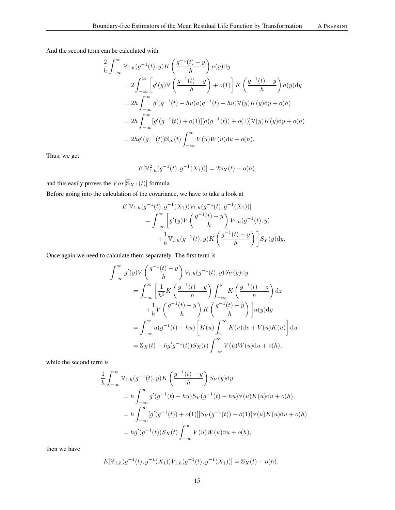And the second term can be calculated with

$$
\frac{2}{h} \int_{-\infty}^{\infty} \mathbb{V}_{1,h}(g^{-1}(t),y)K\left(\frac{g^{-1}(t)-y}{h}\right) a(y) \mathrm{d}y \n= 2 \int_{-\infty}^{\infty} \left[ g'(y) \mathbb{V}\left(\frac{g^{-1}(t)-y}{h}\right) + o(1) \right] K\left(\frac{g^{-1}(t)-y}{h}\right) a(y) \mathrm{d}y \n= 2h \int_{-\infty}^{\infty} g'(g^{-1}(t) - hu) a(g^{-1}(t) - hu) \mathbb{V}(y) K(y) \mathrm{d}y + o(h) \n= 2h \int_{-\infty}^{\infty} [g'(g^{-1}(t)) + o(1)][a(g^{-1}(t)) + o(1)] \mathbb{V}(y) K(y) \mathrm{d}y + o(h) \n= 2h g'(g^{-1}(t)) \mathbb{S}_X(t) \int_{-\infty}^{\infty} V(u) W(u) \mathrm{d}u + o(h).
$$

Thus, we get

$$
E[\mathbb{V}_{1,h}^{2}(g^{-1}(t), g^{-1}(X_{1}))] = 2\bar{\mathbb{S}}_{X}(t) + o(h),
$$

and this easily proves the  $Var[\widetilde{\mathbb{S}}_{X,1}(t)]$  formula.

Before going into the calculation of the covariance, we have to take a look at

$$
E[\mathbb{V}_{1,h}(g^{-1}(t), g^{-1}(X_1))V_{1,h}(g^{-1}(t), g^{-1}(X_1))]
$$
  
= 
$$
\int_{-\infty}^{\infty} \left[ g'(y)V\left(\frac{g^{-1}(t) - y}{h}\right) V_{1,h}(g^{-1}(t), y) + \frac{1}{h} \mathbb{V}_{1,h}(g^{-1}(t), y)K\left(\frac{g^{-1}(t) - y}{h}\right) \right] S_Y(y) dy.
$$

Once again we need to calculate them separately. The first term is

$$
\int_{-\infty}^{\infty} g'(y)V\left(\frac{g^{-1}(t)-y}{h}\right) V_{1,h}(g^{-1}(t),y)S_Y(y)dy
$$
  
\n
$$
= \int_{-\infty}^{\infty} \left[ \frac{1}{h^2} K\left(\frac{g^{-1}(t)-y}{h}\right) \int_{-\infty}^y K\left(\frac{g^{-1}(t)-z}{h}\right) dz
$$
  
\n
$$
+ \frac{1}{h} V\left(\frac{g^{-1}(t)-y}{h}\right) K\left(\frac{g^{-1}(t)-y}{h}\right) \right] a(y)dy
$$
  
\n
$$
= \int_{-\infty}^{\infty} a(g^{-1}(t)-hu) \left[ K(u) \int_u^{\infty} K(v)dv + V(u)K(u) \right] du
$$
  
\n
$$
= \mathbb{S}_X(t) - hg'g^{-1}(t)) S_X(t) \int_{-\infty}^{\infty} V(u)W(u)du + o(h),
$$

while the second term is

$$
\frac{1}{h} \int_{-\infty}^{\infty} \mathbb{V}_{1,h}(g^{-1}(t),y) K\left(\frac{g^{-1}(t)-y}{h}\right) S_Y(y) dy
$$
\n
$$
= h \int_{-\infty}^{\infty} g'(g^{-1}(t) - hu) S_Y(g^{-1}(t) - hu) \mathbb{V}(u) K(u) du + o(h)
$$
\n
$$
= h \int_{-\infty}^{\infty} [g'(g^{-1}(t)) + o(1)][S_Y(g^{-1}(t)) + o(1)] \mathbb{V}(u) K(u) du + o(h)
$$
\n
$$
= hg'(g^{-1}(t)) S_X(t) \int_{-\infty}^{\infty} V(u) W(u) du + o(h),
$$

then we have

$$
E[\mathbb{V}_{1,h}(g^{-1}(t), g^{-1}(X_1))V_{1,h}(g^{-1}(t), g^{-1}(X_1))] = \mathbb{S}_X(t) + o(h).
$$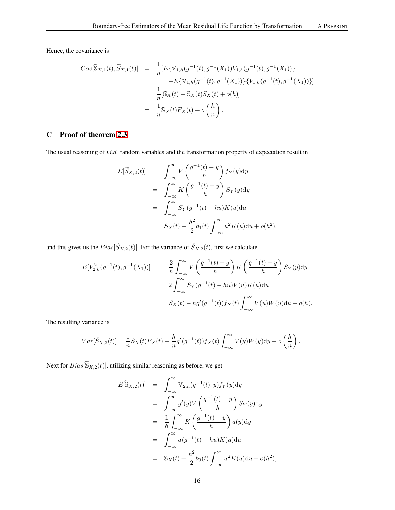Hence, the covariance is

$$
Cov[\widetilde{S}_{X,1}(t), \widetilde{S}_{X,1}(t)] = \frac{1}{n} [E\{\mathbb{V}_{1,h}(g^{-1}(t), g^{-1}(X_1))V_{1,h}(g^{-1}(t), g^{-1}(X_1))\} - E\{\mathbb{V}_{1,h}(g^{-1}(t), g^{-1}(X_1))\} \{V_{1,h}(g^{-1}(t), g^{-1}(X_1))\}]
$$
  

$$
= \frac{1}{n} [\mathbb{S}_X(t) - \mathbb{S}_X(t)S_X(t) + o(h)]
$$
  

$$
= \frac{1}{n} \mathbb{S}_X(t)F_X(t) + o\left(\frac{h}{n}\right).
$$

# C Proof of theorem [2.3](#page-4-1)

The usual reasoning of *i.i.d.* random variables and the transformation property of expectation result in

$$
E[\widetilde{S}_{X,2}(t)] = \int_{-\infty}^{\infty} V\left(\frac{g^{-1}(t) - y}{h}\right) f_Y(y) dy
$$
  
\n
$$
= \int_{-\infty}^{\infty} K\left(\frac{g^{-1}(t) - y}{h}\right) S_Y(y) dy
$$
  
\n
$$
= \int_{-\infty}^{\infty} S_Y(g^{-1}(t) - hu) K(u) du
$$
  
\n
$$
= S_X(t) - \frac{h^2}{2} b_1(t) \int_{-\infty}^{\infty} u^2 K(u) du + o(h^2),
$$

and this gives us the  $Bias[\tilde{S}_{X,2}(t)]$ . For the variance of  $\tilde{S}_{X,2}(t)$ , first we calculate

$$
E[V_{2,h}^{2}(g^{-1}(t), g^{-1}(X_{1}))] = \frac{2}{h} \int_{-\infty}^{\infty} V\left(\frac{g^{-1}(t) - y}{h}\right) K\left(\frac{g^{-1}(t) - y}{h}\right) S_{Y}(y) dy
$$
  

$$
= 2 \int_{-\infty}^{\infty} S_{Y}(g^{-1}(t) - hu) V(u) K(u) du
$$
  

$$
= S_{X}(t) - hg'(g^{-1}(t)) f_{X}(t) \int_{-\infty}^{\infty} V(u) W(u) du + o(h).
$$

The resulting variance is

$$
Var[\widetilde{S}_{X,2}(t)] = \frac{1}{n} S_X(t) F_X(t) - \frac{h}{n} g'(g^{-1}(t)) f_X(t) \int_{-\infty}^{\infty} V(y) W(y) dy + o\left(\frac{h}{n}\right).
$$

Next for  $Bias[\tilde{S}_{X,2}(t)]$ , utilizing similar reasoning as before, we get

$$
E[\widetilde{S}_{X,2}(t)] = \int_{-\infty}^{\infty} \mathbb{V}_{2,h}(g^{-1}(t), y) f_Y(y) dy
$$
  
\n
$$
= \int_{-\infty}^{\infty} g'(y) V\left(\frac{g^{-1}(t) - y}{h}\right) S_Y(y) dy
$$
  
\n
$$
= \frac{1}{h} \int_{-\infty}^{\infty} K\left(\frac{g^{-1}(t) - y}{h}\right) a(y) dy
$$
  
\n
$$
= \int_{-\infty}^{\infty} a(g^{-1}(t) - hu) K(u) du
$$
  
\n
$$
= S_X(t) + \frac{h^2}{2} b_3(t) \int_{-\infty}^{\infty} u^2 K(u) du + o(h^2),
$$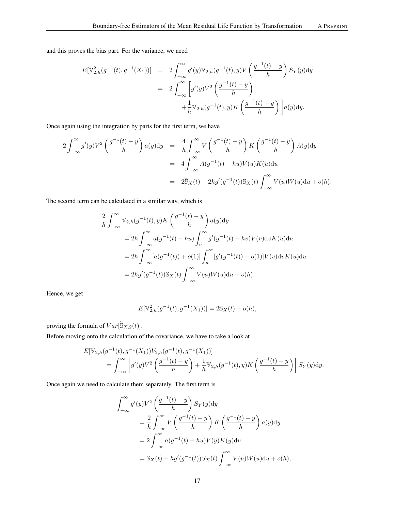and this proves the bias part. For the variance, we need

$$
E[\mathbb{V}_{2,h}^{2}(g^{-1}(t), g^{-1}(X_{1}))] = 2 \int_{-\infty}^{\infty} g'(y) \mathbb{V}_{2,h}(g^{-1}(t), y) V\left(\frac{g^{-1}(t) - y}{h}\right) S_{Y}(y) dy
$$
  

$$
= 2 \int_{-\infty}^{\infty} \left[ g'(y) V^{2}\left(\frac{g^{-1}(t) - y}{h}\right) + \frac{1}{h} \mathbb{V}_{2,h}(g^{-1}(t), y) K\left(\frac{g^{-1}(t) - y}{h}\right) \right] a(y) dy.
$$

Once again using the integration by parts for the first term, we have

$$
2\int_{-\infty}^{\infty} g'(y)V^2 \left(\frac{g^{-1}(t)-y}{h}\right) a(y) \mathrm{d}y = \frac{4}{h} \int_{-\infty}^{\infty} V\left(\frac{g^{-1}(t)-y}{h}\right) K\left(\frac{g^{-1}(t)-y}{h}\right) A(y) \mathrm{d}y
$$
  

$$
= 4 \int_{-\infty}^{\infty} A(g^{-1}(t)-hu)V(u)K(u) \mathrm{d}u
$$
  

$$
= 2\bar{S}_X(t) - 2hg'(g^{-1}(t))\mathbb{S}_X(t) \int_{-\infty}^{\infty} V(u)W(u) \mathrm{d}u + o(h).
$$

The second term can be calculated in a similar way, which is

$$
\frac{2}{h} \int_{-\infty}^{\infty} \mathbb{V}_{2,h}(g^{-1}(t), y) K\left(\frac{g^{-1}(t) - y}{h}\right) a(y) dy
$$
  
=  $2h \int_{-\infty}^{\infty} a(g^{-1}(t) - hu) \int_{u}^{\infty} g'(g^{-1}(t) - hv) V(v) dv K(u) du$   
=  $2h \int_{-\infty}^{\infty} [a(g^{-1}(t)) + o(1)] \int_{u}^{\infty} [g'(g^{-1}(t)) + o(1)] V(v) dv K(u) du$   
=  $2h g'(g^{-1}(t)) \mathbb{S}_X(t) \int_{-\infty}^{\infty} V(u) W(u) du + o(h).$ 

Hence, we get

$$
E[\mathbb{V}_{2,h}^{2}(g^{-1}(t), g^{-1}(X_{1}))] = 2\bar{\mathbb{S}}_{X}(t) + o(h),
$$

proving the formula of  $Var[\tilde{S}_{X,2}(t)].$ 

Before moving onto the calculation of the covariance, we have to take a look at

$$
E[\mathbb{V}_{2,h}(g^{-1}(t), g^{-1}(X_1))V_{2,h}(g^{-1}(t), g^{-1}(X_1))]
$$
  
= 
$$
\int_{-\infty}^{\infty} \left[ g'(y)V^2 \left( \frac{g^{-1}(t) - y}{h} \right) + \frac{1}{h} \mathbb{V}_{2,h}(g^{-1}(t), y)K \left( \frac{g^{-1}(t) - y}{h} \right) \right] S_Y(y) dy.
$$

Once again we need to calculate them separately. The first term is

$$
\int_{-\infty}^{\infty} g'(y)V^2 \left(\frac{g^{-1}(t) - y}{h}\right) S_Y(y) dy
$$
  
=  $\frac{2}{h} \int_{-\infty}^{\infty} V\left(\frac{g^{-1}(t) - y}{h}\right) K\left(\frac{g^{-1}(t) - y}{h}\right) a(y) dy$   
=  $2 \int_{-\infty}^{\infty} a(g^{-1}(t) - hu)V(y)K(y) du$   
=  $S_X(t) - hg'(g^{-1}(t)) S_X(t) \int_{-\infty}^{\infty} V(u)W(u) du + o(h),$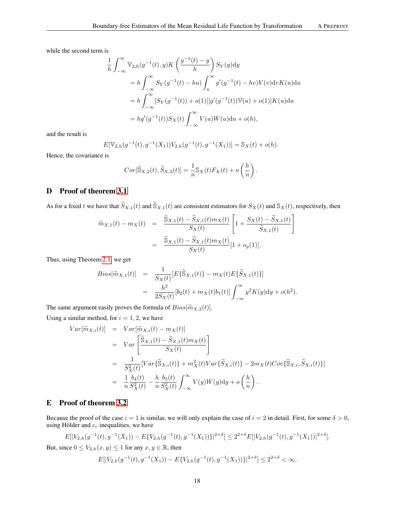while the second term is

$$
\frac{1}{h} \int_{-\infty}^{\infty} \mathbb{V}_{2,h}(g^{-1}(t), y) K\left(\frac{g^{-1}(t) - y}{h}\right) S_Y(y) dy
$$
\n
$$
= h \int_{-\infty}^{\infty} S_Y(g^{-1}(t) - hu) \int_u^{\infty} g'(g^{-1}(t) - hv) V(v) dv K(u) du
$$
\n
$$
= h \int_{-\infty}^{\infty} [S_Y(g^{-1}(t)) + o(1)][g'(g^{-1}(t)) \mathbb{V}(u) + o(1)] K(u) du
$$
\n
$$
= hg'(g^{-1}(t)) S_X(t) \int_{-\infty}^{\infty} V(u) W(u) du + o(h),
$$

and the result is

$$
E[\mathbb{V}_{2,h}(g^{-1}(t), g^{-1}(X_1))V_{2,h}(g^{-1}(t), g^{-1}(X_1))] = \mathbb{S}_X(t) + o(h).
$$

Hence, the covariance is

$$
Cov[\widetilde{S}_{X,2}(t), \widetilde{S}_{X,2}(t)] = \frac{1}{n} S_X(t) F_X(t) + o\left(\frac{h}{n}\right).
$$

## D Proof of theorem [3.1](#page-4-3)

As for a fixed t we have that  $\widetilde{S}_{X,1}(t)$  and  $\widetilde{S}_{X,1}(t)$  are consistent estimators for  $S_X(t)$  and  $S_X(t)$ , respectively, then

$$
\widetilde{m}_{X,1}(t) - m_X(t) = \frac{\widetilde{S}_{X,1}(t) - \widetilde{S}_{X,1}(t)m_X(t)}{S_X(t)} \left[ 1 + \frac{S_X(t) - \widetilde{S}_{X,1}(t)}{\widetilde{S}_{X,1}(t)} \right]
$$

$$
= \frac{\widetilde{S}_{X,1}(t) - \widetilde{S}_{X,1}(t)m_X(t)}{S_X(t)} [1 + o_p(1)].
$$

Thus, using Theorem [2.1,](#page-3-0) we get

$$
Bias[\widetilde{m}_{X,1}(t)] = \frac{1}{S_X(t)} [E{\{\widetilde{S}_{X,1}(t)\} - m_X(t)E{\{\widetilde{S}_{X,1}(t)\}}}]
$$
  
= 
$$
\frac{h^2}{2S_X(t)} [b_2(t) + m_X(t)b_1(t)] \int_{-\infty}^{\infty} y^2 K(y) dy + o(h^2).
$$

The same argument easily proves the formula of  $Bias[\widetilde{m}_{X,2}(t)].$ 

Using a similar method, for  $i = 1, 2$ , we have

$$
Var[\widetilde{m}_{X,i}(t)] = Var[\widetilde{m}_{X,i}(t) - m_X(t)]
$$
  
\n
$$
= Var\left[\frac{\widetilde{S}_{X,1}(t) - \widetilde{S}_{X,1}(t)m_X(t)}{S_X(t)}\right]
$$
  
\n
$$
= \frac{1}{S_X^2(t)}[Var\{\widetilde{S}_{X,i}(t)\} + m_X^2(t)Var\{\widetilde{S}_{X,i}(t)\} - 2m_X(t)Cov\{\widetilde{S}_{X,i}, \widetilde{S}_{X,i}(t)\}]
$$
  
\n
$$
= \frac{1}{n}\frac{b_4(t)}{S_X^2(t)} - \frac{h}{n}\frac{b_5(t)}{S_X^2(t)}\int_{-\infty}^{\infty} V(y)W(y)dy + o\left(\frac{h}{n}\right).
$$

### E Proof of theorem [3.2](#page-5-2)

Because the proof of the case  $i = 1$  is similar, we will only explain the case of  $i = 2$  in detail. First, for some  $\delta > 0$ , using Hölder and  $c_r$  inequalities, we have

$$
E[|V_{2,h}(g^{-1}(t),g^{-1}(X_1))-E\{V_{2,h}(g^{-1}(t),g^{-1}(X_1))\}|^{2+\delta}] \leq 2^{2+\delta}E[|V_{2,h}(g^{-1}(t),g^{-1}(X_1))|^{2+\delta}].
$$

But, since  $0 \le V_{2,h}(x, y) \le 1$  for any  $x, y \in \mathbb{R}$ , then

$$
E[|V_{2,h}(g^{-1}(t),g^{-1}(X_1))-E\{V_{2,h}(g^{-1}(t),g^{-1}(X_1))\}|^{2+\delta}] \le 2^{2+\delta} < \infty,
$$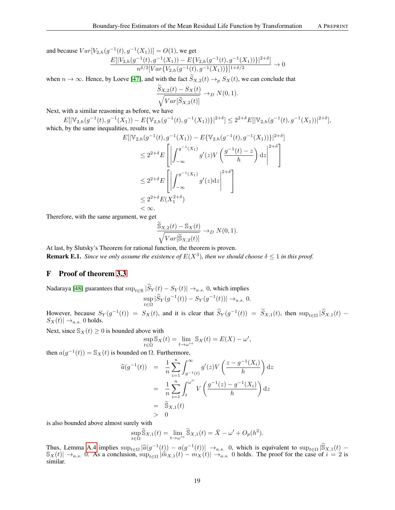and because  $Var[V_{2,h}(g^{-1}(t), g^{-1}(X_1))] = O(1)$ , we get

$$
\frac{E[|V_{2,h}(g^{-1}(t),g^{-1}(X_1))-E\{V_{2,h}(g^{-1}(t),g^{-1}(X_1))\}|^{2+\delta}]}{n^{\delta/2}[Var\{V_{2,h}(g^{-1}(t),g^{-1}(X_1))\}]^{1+\delta/2}} \to 0
$$

when  $n \to \infty$ . Hence, by Loeve [\[47\]](#page-10-24), and with the fact  $\widetilde{S}_{X,2}(t) \to_p S_X(t)$ , we can conclude that

$$
\frac{S_{X,2}(t) - S_X(t)}{\sqrt{Var[\widetilde{S}_{X,2}(t)]}} \to_D N(0,1).
$$

Next, with a similar reasoning as before, we have

 $E[|\mathbb{V}_{2,h}(g^{-1}(t),g^{-1}(X_1))-E\{\mathbb{V}_{2,h}(g^{-1}(t),g^{-1}(X_1))\}|^{2+\delta}]\leq 2^{2+\delta}E[|\mathbb{V}_{2,h}(g^{-1}(t),g^{-1}(X_1))|^{2+\delta}],$ which, by the same inequalities, results in

$$
E[\|\mathbb{V}_{2,h}(g^{-1}(t), g^{-1}(X_1)) - E\{\mathbb{V}_{2,h}(g^{-1}(t), g^{-1}(X_1))\}|^{2+\delta}]
$$
  
\n
$$
\leq 2^{2+\delta} E\left[\left|\int_{-\infty}^{g^{-1}(X_1)} g'(z) V\left(\frac{g^{-1}(t) - z}{h}\right) dz\right|^{2+\delta}\right]
$$
  
\n
$$
\leq 2^{2+\delta} E\left[\left|\int_{-\infty}^{g^{-1}(X_1)} g'(z) dz\right|^{2+\delta}\right]
$$
  
\n
$$
\leq 2^{2+\delta} E(X_1^{2+\delta})
$$
  
\n
$$
< \infty.
$$

Therefore, with the same argument, we get

$$
\frac{\widetilde{\mathbb{S}}_{X,2}(t) - \mathbb{S}_X(t)}{\sqrt{Var[\widetilde{\mathbb{S}}_{X,2}(t)]}} \to_D N(0,1).
$$

At last, by Slutsky's Theorem for rational function, the theorem is proven. **Remark E.1.** *Since we only assume the existence of*  $E(X^3)$ *, then we should choose*  $\delta \leq 1$  *in this proof.* 

### F Proof of theorem [3.3](#page-5-5)

Nadaraya [\[48\]](#page-10-25) guarantees that  $\sup_{t\in\mathbb{R}}|\widehat{S}_Y(t)-S_Y(t)| \to_{a.s.} 0$ , which implies  $\sup_{t \in \Omega} |\widehat{S}_Y(g^{-1}(t)) - S_Y(g^{-1}(t))| \to_{a.s.} 0.$ 

However, because  $S_Y(g^{-1}(t)) = S_X(t)$ , and it is clear that  $\widehat{S}_Y(g^{-1}(t)) = \widetilde{S}_{X,1}(t)$ , then  $\sup_{t \in \Omega} |\widetilde{S}_{X,1}(t) - S_X(t)|$  $S_X(t)| \rightarrow_{a.s.} 0$  holds.

Next, since  $\mathcal{S}_X(t) \geq 0$  is bounded above with

$$
\sup_{t \in \Omega} \mathbb{S}_X(t) = \lim_{t \to \omega^{+}} \mathbb{S}_X(t) = E(X) - \omega',
$$

then  $a(g^{-1}(t)) = \mathbb{S}_X(t)$  is bounded on  $\Omega$ . Furthermore,

$$
\begin{aligned}\n\widehat{a}(g^{-1}(t)) &= \frac{1}{n} \sum_{i=1}^{n} \int_{g^{-1}(t)}^{\infty} g'(z) V\left(\frac{z - g^{-1}(X_i)}{h}\right) \mathrm{d}z \\
&= \frac{1}{n} \sum_{i=1}^{n} \int_{t}^{\omega''} V\left(\frac{g^{-1}(z) - g^{-1}(X_i)}{h}\right) \mathrm{d}z \\
&= \widetilde{\mathbb{S}}_{X,1}(t) \\
&> 0\n\end{aligned}
$$

is also bounded above almost surely with

$$
\sup_{t \in \Omega} \widetilde{\mathbb{S}}_{X,1}(t) = \lim_{t \to \omega^{'}+} \widetilde{\mathbb{S}}_{X,1}(t) = \overline{X} - \omega' + O_p(h^2).
$$

Thus, Lemma [A.4](#page-11-5) implies  $\sup_{t\in\Omega} |\hat{a}(g^{-1}(t)) - a(g^{-1}(t))| \to_{a.s.} 0$ , which is equivalent to  $\sup_{t\in\Omega} |\tilde{S}_{X,1}(t) - S_{X}(t)| \to 0$  as a conclusion sup  $\mathbb{S}_X(t)$   $\rightarrow$  a.s. 0. As a conclusion,  $\sup_{t\in\Omega}|\widetilde{m}_{X,1}(t) - m_X(t)| \rightarrow$  a.s. 0 holds. The proof for the case of  $i = 2$  is similar.